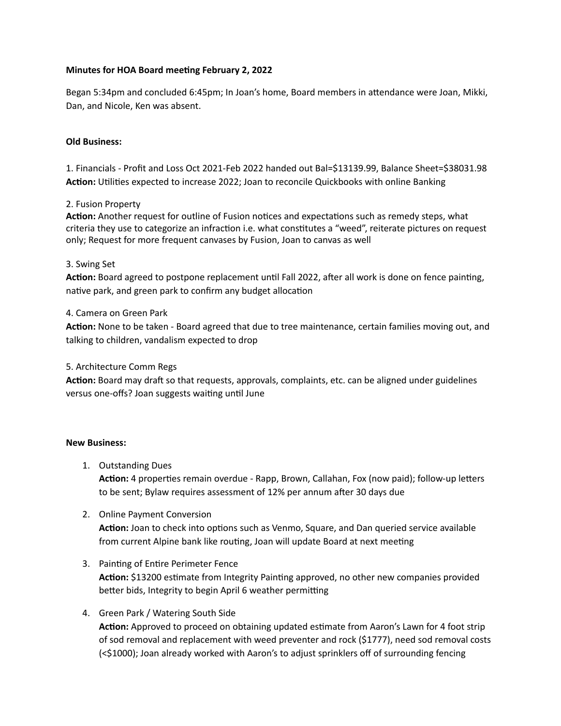## **Minutes for HOA Board meeting February 2, 2022**

Began 5:34pm and concluded 6:45pm; In Joan's home, Board members in attendance were Joan, Mikki, Dan, and Nicole, Ken was absent.

### **Old Business:**

1. Financials - Profit and Loss Oct 2021-Feb 2022 handed out Bal=\$13139.99, Balance Sheet=\$38031.98 **Action:** Utilities expected to increase 2022; Joan to reconcile Quickbooks with online Banking

### 2. Fusion Property

**Action:** Another request for outline of Fusion notices and expectations such as remedy steps, what criteria they use to categorize an infraction i.e. what constitutes a "weed", reiterate pictures on request only; Request for more frequent canvases by Fusion, Joan to canvas as well

### 3. Swing Set

**Action:** Board agreed to postpone replacement until Fall 2022, after all work is done on fence painting, native park, and green park to confirm any budget allocation

### 4. Camera on Green Park

**Action:** None to be taken - Board agreed that due to tree maintenance, certain families moving out, and talking to children, vandalism expected to drop

### 5. Architecture Comm Regs

**Action:** Board may draft so that requests, approvals, complaints, etc. can be aligned under guidelines versus one-offs? Joan suggests waiting until June

### **New Business:**

1. Outstanding Dues

**Action:** 4 properties remain overdue - Rapp, Brown, Callahan, Fox (now paid); follow-up letters to be sent; Bylaw requires assessment of 12% per annum after 30 days due

2. Online Payment Conversion

**Action:** Joan to check into options such as Venmo, Square, and Dan queried service available from current Alpine bank like routing, Joan will update Board at next meeting

- 3. Painting of Entire Perimeter Fence **Action:** \$13200 estimate from Integrity Painting approved, no other new companies provided better bids, Integrity to begin April 6 weather permitting
- 4. Green Park / Watering South Side **Action:** Approved to proceed on obtaining updated estimate from Aaron's Lawn for 4 foot strip of sod removal and replacement with weed preventer and rock (\$1777), need sod removal costs (<\$1000); Joan already worked with Aaron's to adjust sprinklers off of surrounding fencing